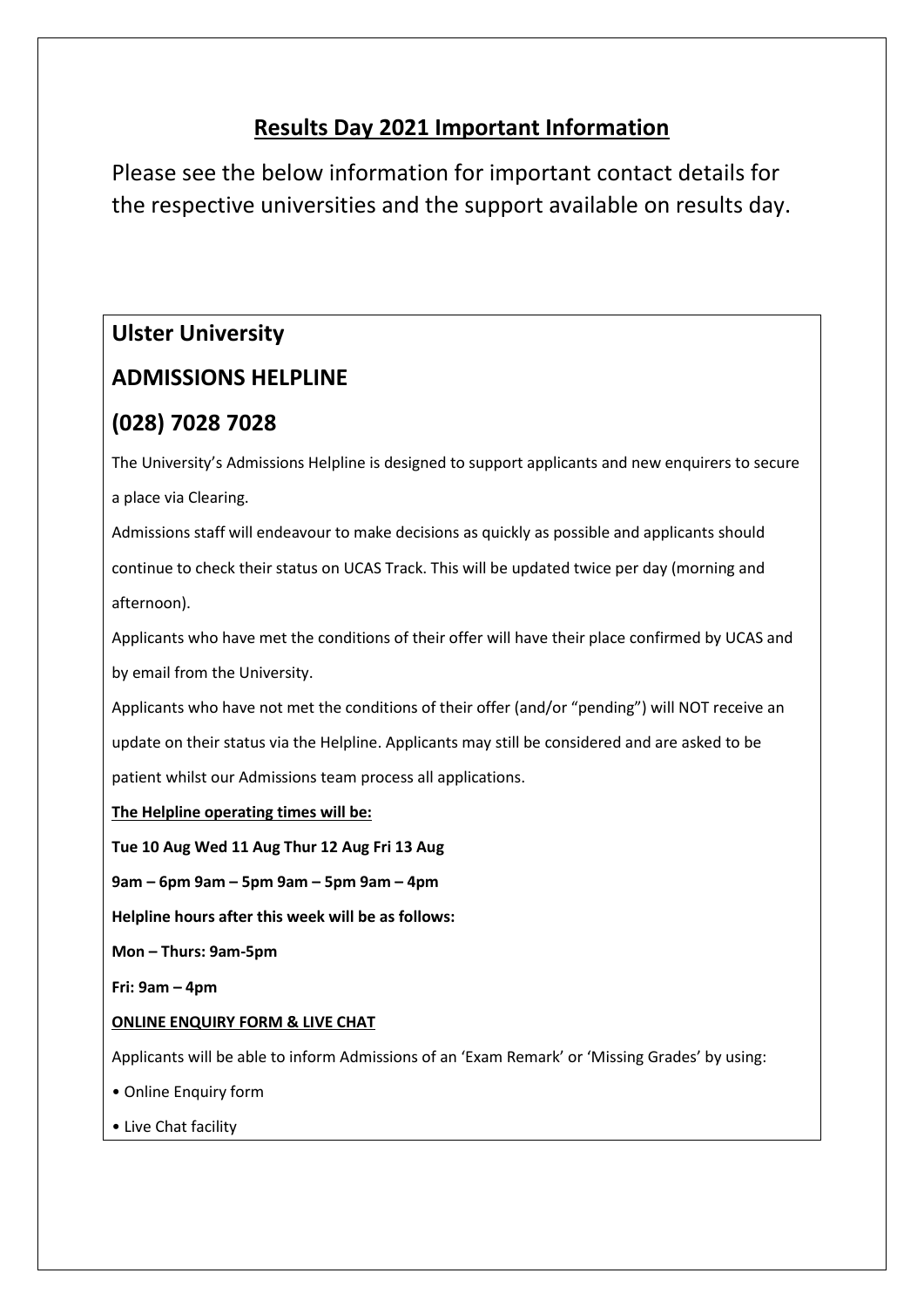# **Results Day 2021 Important Information**

Please see the below information for important contact details for the respective universities and the support available on results day.

# **Ulster University**

# **ADMISSIONS HELPLINE**

### **(028) 7028 7028**

The University's Admissions Helpline is designed to support applicants and new enquirers to secure a place via Clearing.

Admissions staff will endeavour to make decisions as quickly as possible and applicants should continue to check their status on UCAS Track. This will be updated twice per day (morning and afternoon).

Applicants who have met the conditions of their offer will have their place confirmed by UCAS and by email from the University.

Applicants who have not met the conditions of their offer (and/or "pending") will NOT receive an update on their status via the Helpline. Applicants may still be considered and are asked to be patient whilst our Admissions team process all applications.

**The Helpline operating times will be:**

**Tue 10 Aug Wed 11 Aug Thur 12 Aug Fri 13 Aug**

**9am – 6pm 9am – 5pm 9am – 5pm 9am – 4pm**

**Helpline hours after this week will be as follows:**

**Mon – Thurs: 9am-5pm**

**Fri: 9am – 4pm**

#### **ONLINE ENQUIRY FORM & LIVE CHAT**

Applicants will be able to inform Admissions of an 'Exam Remark' or 'Missing Grades' by using:

- Online Enquiry form
- Live Chat facility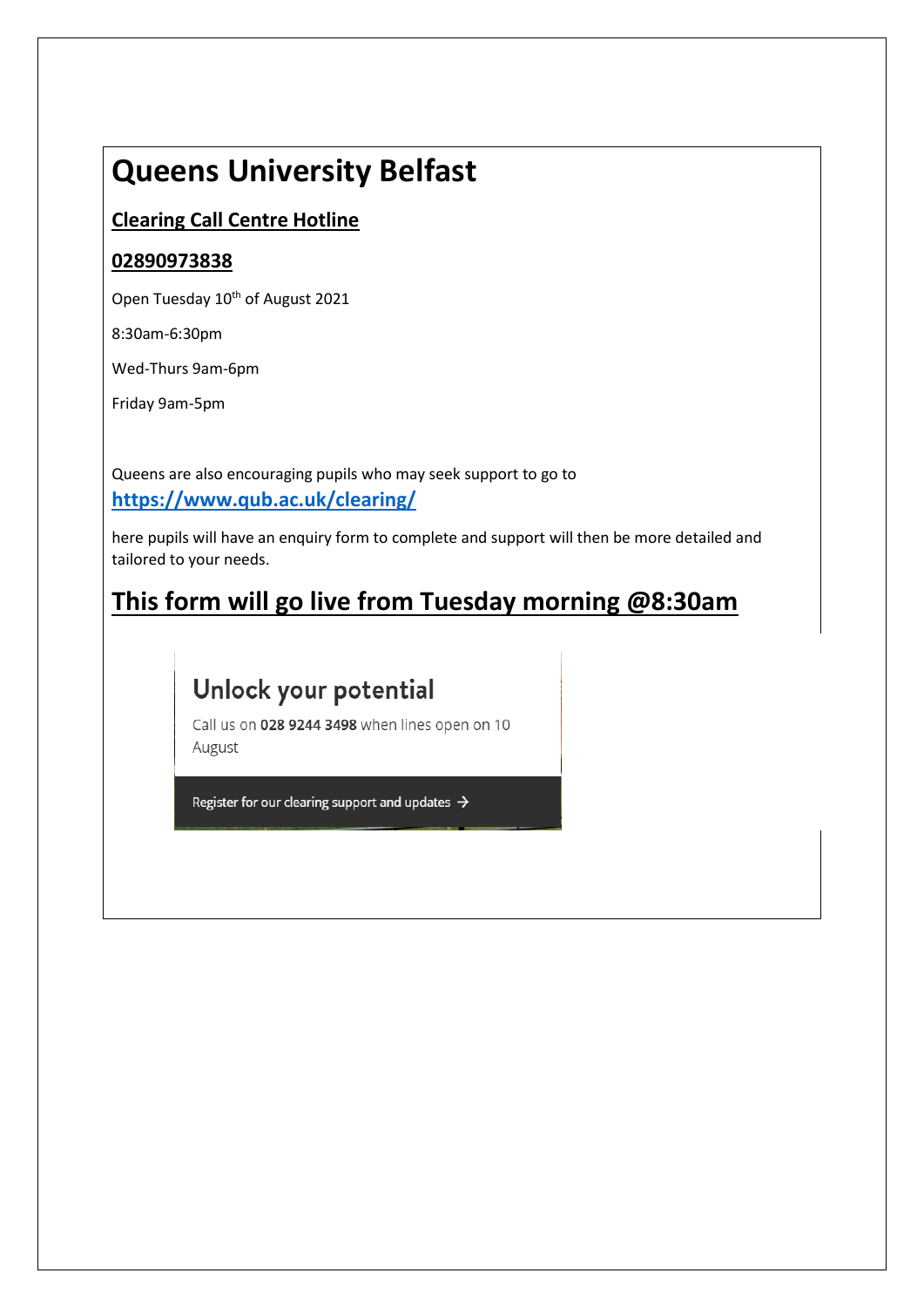# **Queens University Belfast**

## **Clearing Call Centre Hotline**

### **02890973838**

Open Tuesday 10<sup>th</sup> of August 2021

8:30am-6:30pm

Wed-Thurs 9am-6pm

Friday 9am-5pm

Queens are also encouraging pupils who may seek support to go to **<https://www.qub.ac.uk/clearing/>**

here pupils will have an enquiry form to complete and support will then be more detailed and tailored to your needs.

# **This form will go live from Tuesday morning @8:30am**

# Unlock your potential

Call us on 028 9244 3498 when lines open on 10 August

Register for our clearing support and updates  $\rightarrow$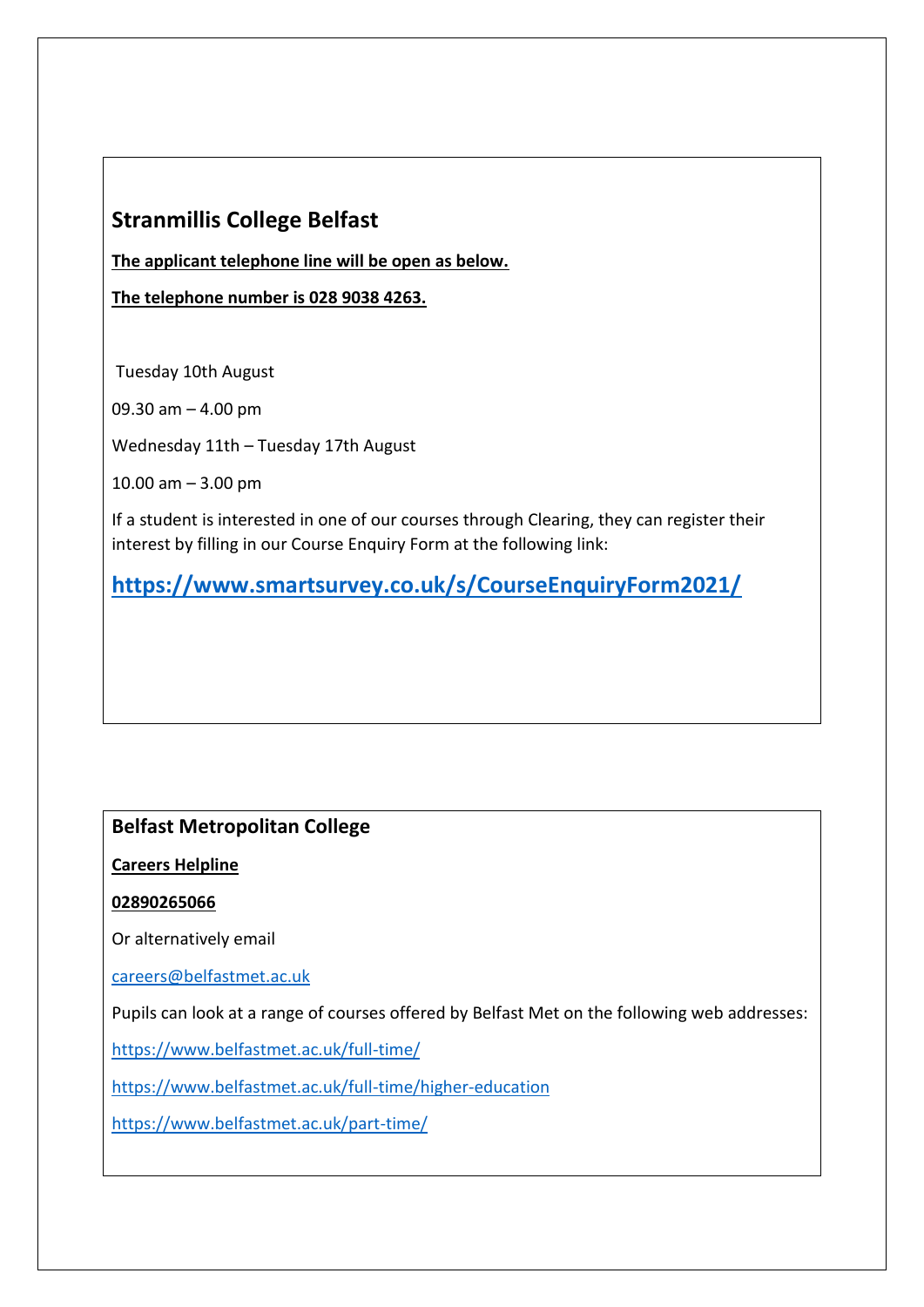### **Stranmillis College Belfast**

**The applicant telephone line will be open as below.** 

**The telephone number is 028 9038 4263.**

Tuesday 10th August

09.30 am – 4.00 pm

Wednesday 11th – Tuesday 17th August

10.00 am – 3.00 pm

If a student is interested in one of our courses through Clearing, they can register their interest by filling in our Course Enquiry Form at the following link:

**<https://www.smartsurvey.co.uk/s/CourseEnquiryForm2021/>**

### **Belfast Metropolitan College**

**Careers Helpline** 

#### **02890265066**

Or alternatively email

[careers@belfastmet.ac.uk](mailto:careers@belfastmet.ac.uk)

Pupils can look at a range of courses offered by Belfast Met on the following web addresses:

<https://www.belfastmet.ac.uk/full-time/>

<https://www.belfastmet.ac.uk/full-time/higher-education>

<https://www.belfastmet.ac.uk/part-time/>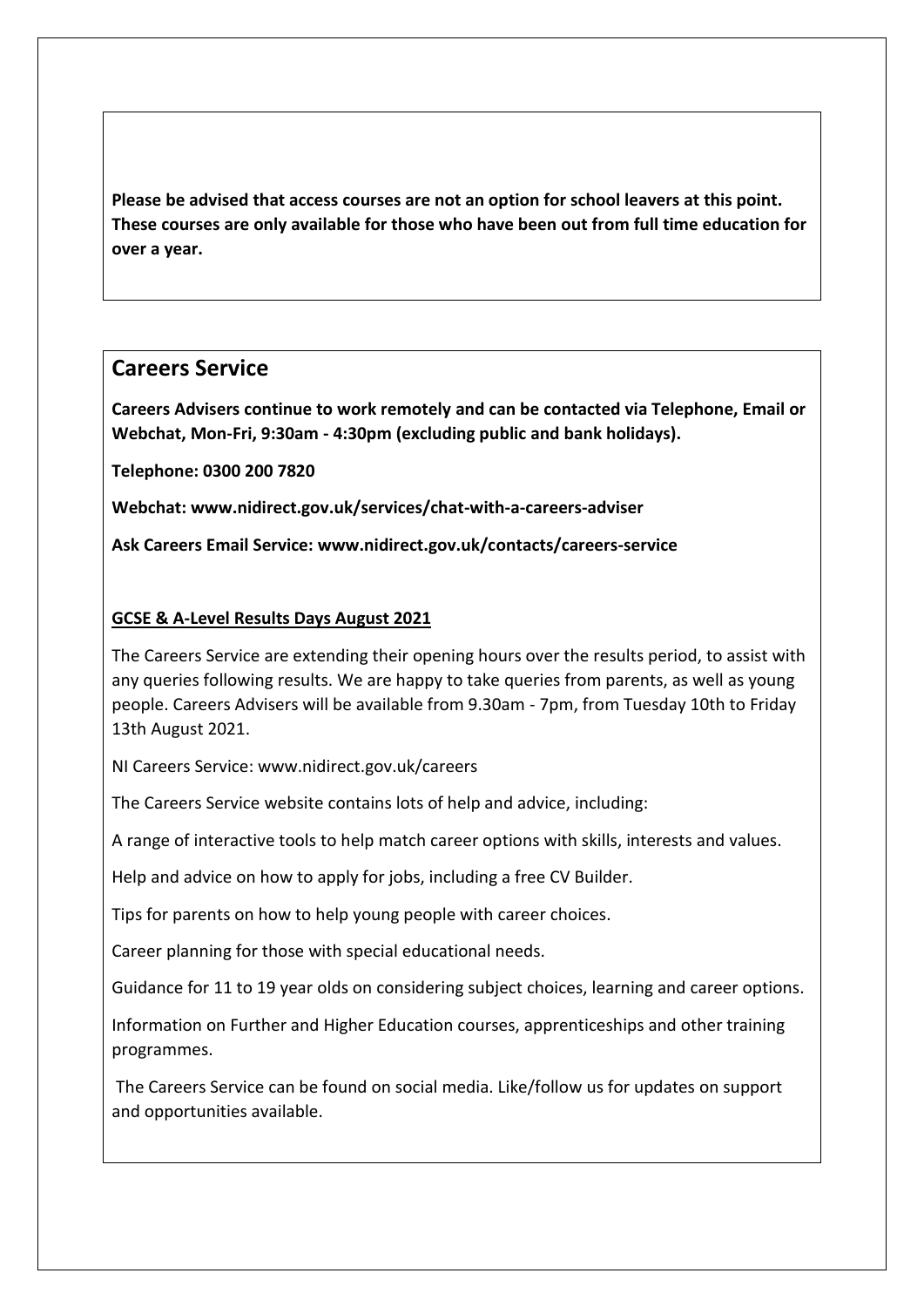**Please be advised that access courses are not an option for school leavers at this point. These courses are only available for those who have been out from full time education for over a year.** 

### **Careers Service**

**Careers Advisers continue to work remotely and can be contacted via Telephone, Email or Webchat, Mon-Fri, 9:30am - 4:30pm (excluding public and bank holidays).**

**Telephone: 0300 200 7820**

**Webchat: www.nidirect.gov.uk/services/chat-with-a-careers-adviser**

**Ask Careers Email Service: www.nidirect.gov.uk/contacts/careers-service**

#### **GCSE & A-Level Results Days August 2021**

The Careers Service are extending their opening hours over the results period, to assist with any queries following results. We are happy to take queries from parents, as well as young people. Careers Advisers will be available from 9.30am - 7pm, from Tuesday 10th to Friday 13th August 2021.

NI Careers Service: www.nidirect.gov.uk/careers

The Careers Service website contains lots of help and advice, including:

A range of interactive tools to help match career options with skills, interests and values.

Help and advice on how to apply for jobs, including a free CV Builder.

Tips for parents on how to help young people with career choices.

Career planning for those with special educational needs.

Guidance for 11 to 19 year olds on considering subject choices, learning and career options.

Information on Further and Higher Education courses, apprenticeships and other training programmes.

The Careers Service can be found on social media. Like/follow us for updates on support and opportunities available.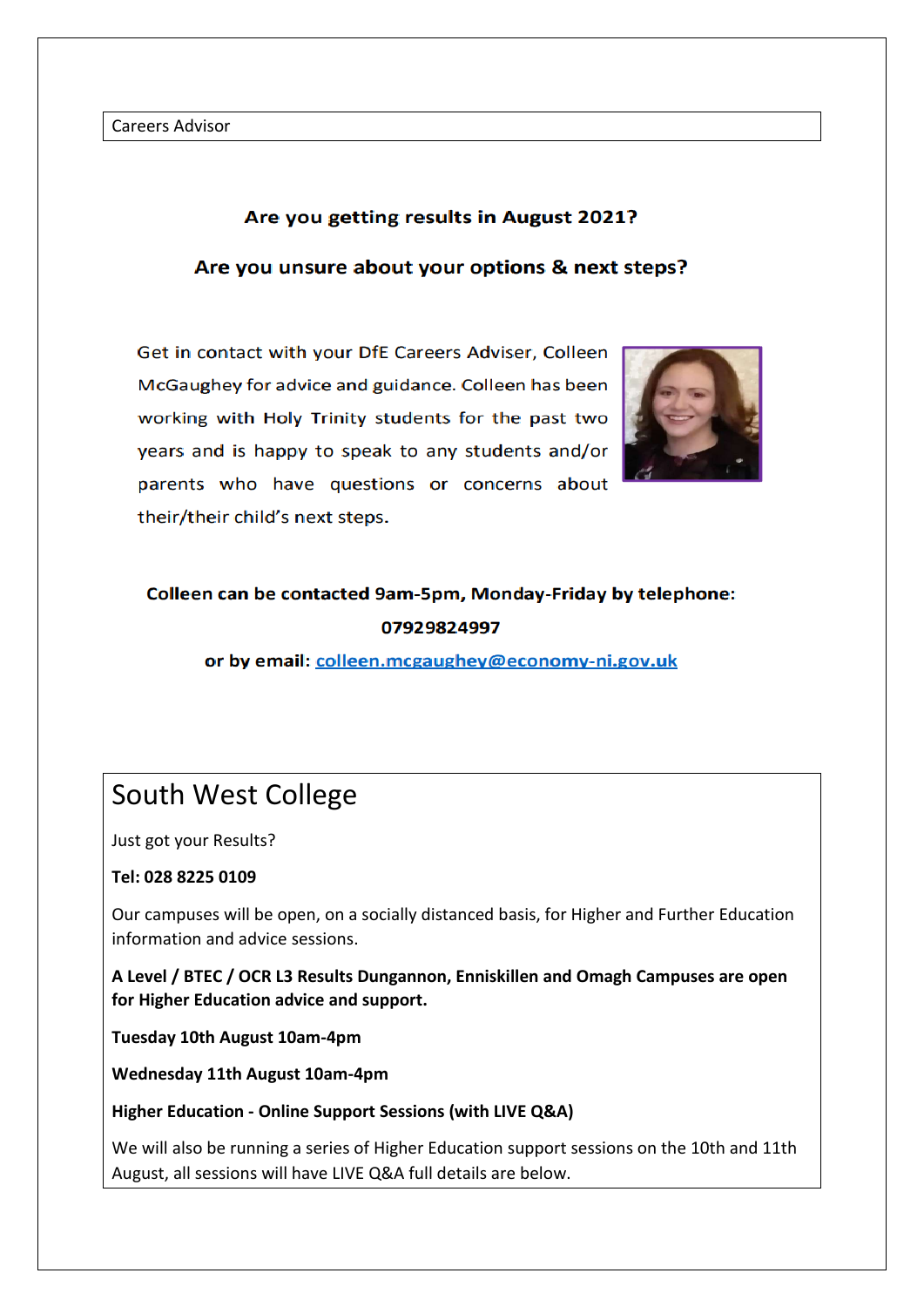Careers Advisor

#### Are you getting results in August 2021?

#### Are you unsure about your options & next steps?

Get in contact with your DfE Careers Adviser, Colleen McGaughey for advice and guidance. Colleen has been working with Holy Trinity students for the past two years and is happy to speak to any students and/or parents who have questions or concerns about their/their child's next steps.



# Colleen can be contacted 9am-5pm, Monday-Friday by telephone: 07929824997

or by email: colleen.mcgaughey@economy-ni.gov.uk

# South West College

Just got your Results?

#### **Tel: 028 8225 0109**

Our campuses will be open, on a socially distanced basis, for Higher and Further Education information and advice sessions.

**A Level / BTEC / OCR L3 Results Dungannon, Enniskillen and Omagh Campuses are open for Higher Education advice and support.**

**Tuesday 10th August 10am-4pm**

**Wednesday 11th August 10am-4pm**

**Higher Education - Online Support Sessions (with LIVE Q&A)**

We will also be running a series of Higher Education support sessions on the 10th and 11th August, all sessions will have LIVE Q&A full details are below.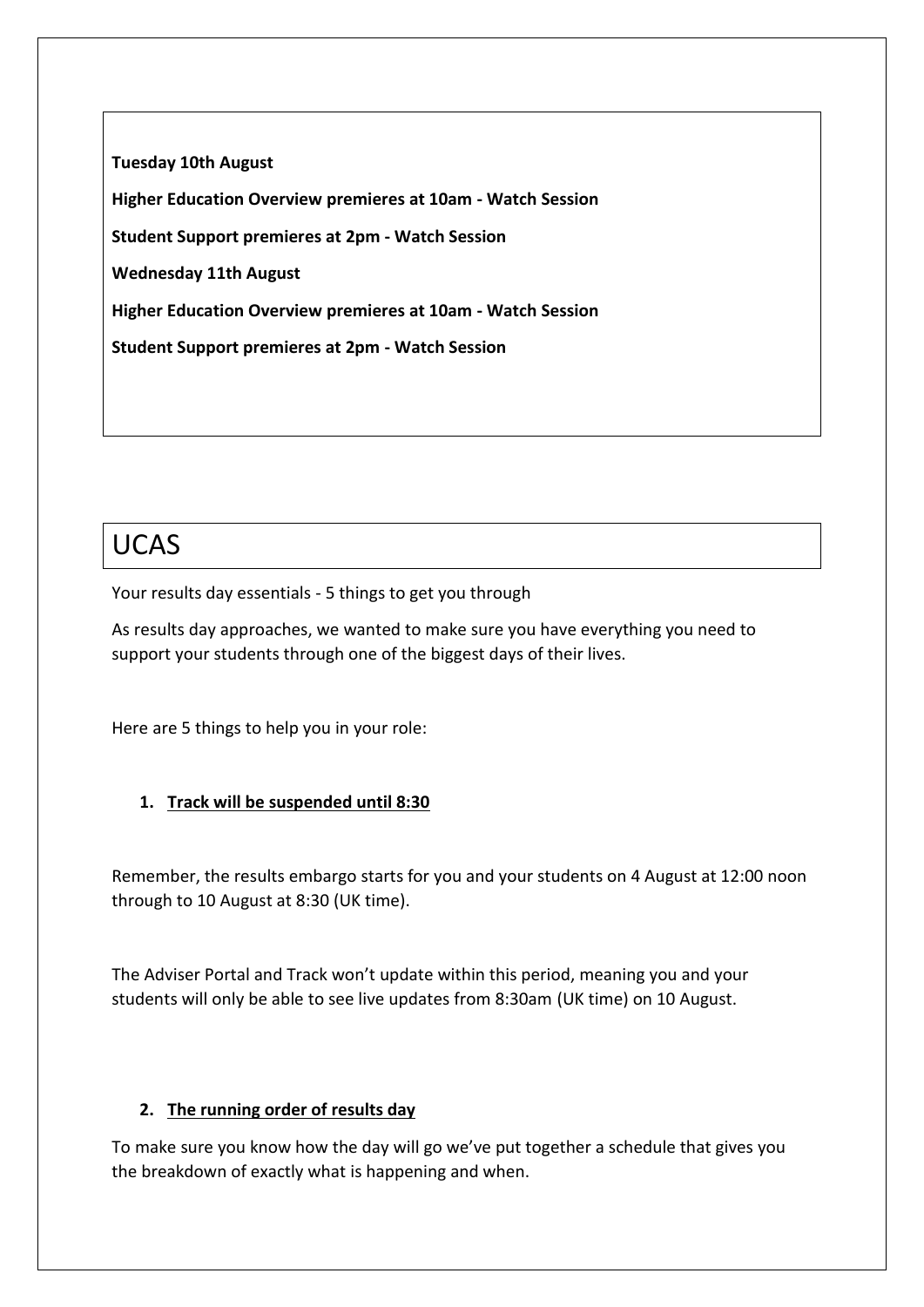**Tuesday 10th August Higher Education Overview premieres at 10am - Watch Session Student Support premieres at 2pm - Watch Session Wednesday 11th August Higher Education Overview premieres at 10am - Watch Session Student Support premieres at 2pm - Watch Session**

# UCAS

Your results day essentials - 5 things to get you through

As results day approaches, we wanted to make sure you have everything you need to support your students through one of the biggest days of their lives.

Here are 5 things to help you in your role:

#### **1. Track will be suspended until 8:30**

Remember, the results embargo starts for you and your students on 4 August at 12:00 noon through to 10 August at 8:30 (UK time).

The Adviser Portal and Track won't update within this period, meaning you and your students will only be able to see live updates from 8:30am (UK time) on 10 August.

#### **2. The running order of results day**

To make sure you know how the day will go we've put together a schedule that gives you the breakdown of exactly what is happening and when.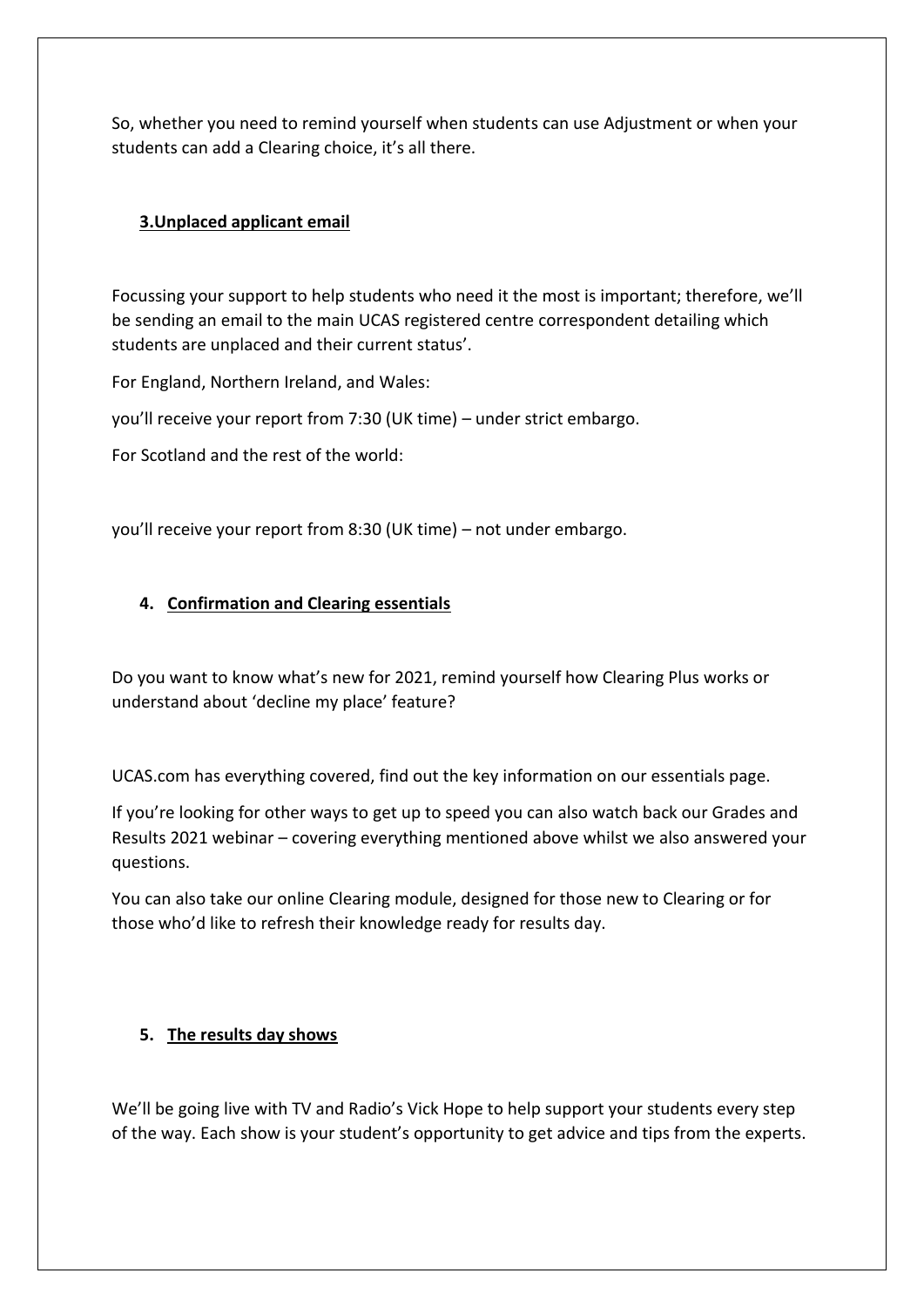So, whether you need to remind yourself when students can use Adjustment or when your students can add a Clearing choice, it's all there.

#### **3.Unplaced applicant email**

Focussing your support to help students who need it the most is important; therefore, we'll be sending an email to the main UCAS registered centre correspondent detailing which students are unplaced and their current status'.

For England, Northern Ireland, and Wales:

you'll receive your report from 7:30 (UK time) – under strict embargo.

For Scotland and the rest of the world:

you'll receive your report from 8:30 (UK time) – not under embargo.

#### **4. Confirmation and Clearing essentials**

Do you want to know what's new for 2021, remind yourself how Clearing Plus works or understand about 'decline my place' feature?

UCAS.com has everything covered, find out the key information on our essentials page.

If you're looking for other ways to get up to speed you can also watch back our Grades and Results 2021 webinar – covering everything mentioned above whilst we also answered your questions.

You can also take our online Clearing module, designed for those new to Clearing or for those who'd like to refresh their knowledge ready for results day.

#### **5. The results day shows**

We'll be going live with TV and Radio's Vick Hope to help support your students every step of the way. Each show is your student's opportunity to get advice and tips from the experts.